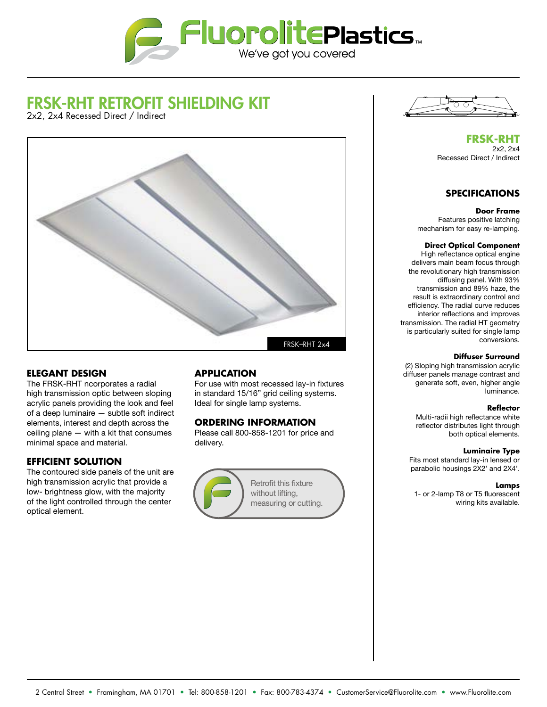

# FRSK-RHT RETROFIT SHIELDING KIT

2x2, 2x4 Recessed Direct / Indirect



# **ELEGANT DESIGN**

The FRSK-RHT ncorporates a radial high transmission optic between sloping acrylic panels providing the look and feel of a deep luminaire — subtle soft indirect elements, interest and depth across the ceiling plane — with a kit that consumes minimal space and material.

# **EFFICIENT SOLUTION**

The contoured side panels of the unit are high transmission acrylic that provide a low- brightness glow, with the majority of the light controlled through the center optical element.

# **APPLICATION**

For use with most recessed lay-in fixtures in standard 15/16" grid ceiling systems. Ideal for single lamp systems.

# **ORDERING INFORMATION**

Please call 800-858-1201 for price and delivery.



Retrofit this fixture without lifting, measuring or cutting.



**FRSK-RHT** 2x2, 2x4 Recessed Direct / Indirect

# **SPECIFICATIONS**

#### **Door Frame**

Features positive latching mechanism for easy re-lamping.

#### **Direct Optical Component**

High reflectance optical engine delivers main beam focus through the revolutionary high transmission diffusing panel. With 93% transmission and 89% haze, the result is extraordinary control and efficiency. The radial curve reduces interior reflections and improves transmission. The radial HT geometry is particularly suited for single lamp conversions.

#### **Diffuser Surround**

(2) Sloping high transmission acrylic diffuser panels manage contrast and generate soft, even, higher angle luminance.

#### **Reflector**

Multi-radii high reflectance white reflector distributes light through both optical elements.

#### **Luminaire Type**

Fits most standard lay-in lensed or parabolic housings 2X2' and 2X4'.

#### **Lamps**

1- or 2-lamp T8 or T5 fluorescent wiring kits available.